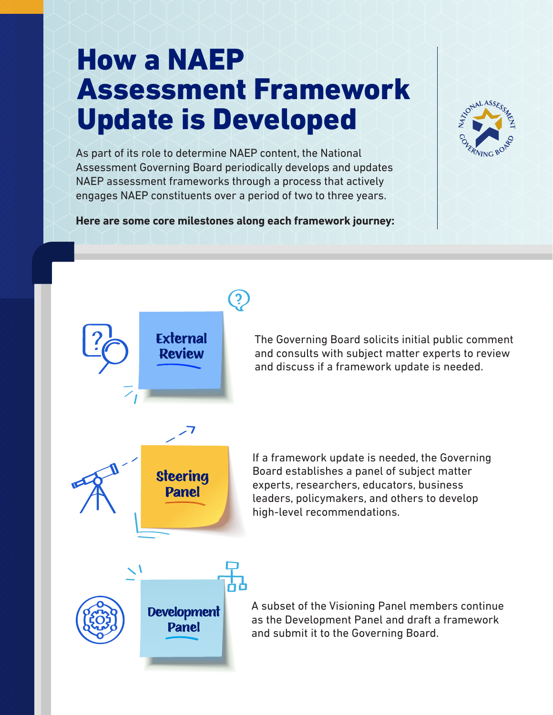## How a NAEP Assessment Framework Update is Developed

As part of its role to determine NAEP content, the National Assessment Governing Board periodically develops and updates NAEP assessment frameworks through a process that actively engages NAEP constituents over a period of two to three years.

**Here are some core milestones along each framework journey:**



The Governing Board solicits initial public comment and consults with subject matter experts to review and discuss if a framework update is needed.

If a framework update is needed, the Governing Board establishes a panel of subject matter experts, researchers, educators, business leaders, policymakers, and others to develop high-level recommendations.

A subset of the Visioning Panel members continue as the Development Panel and draft a framework and submit it to the Governing Board.